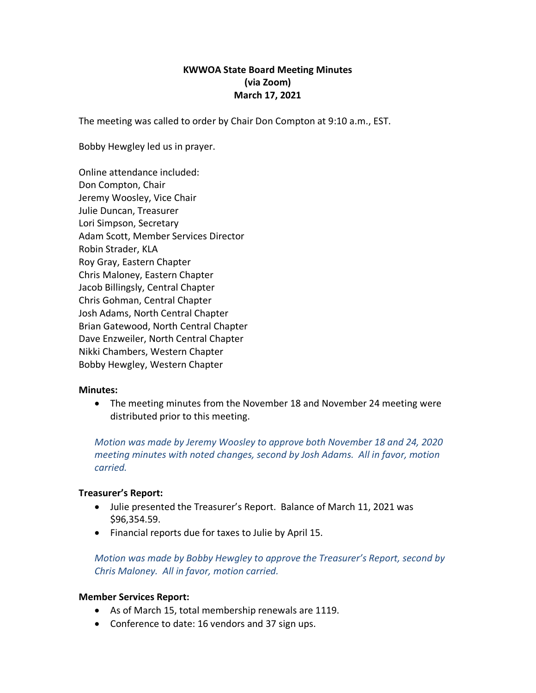# **KWWOA State Board Meeting Minutes (via Zoom) March 17, 2021**

The meeting was called to order by Chair Don Compton at 9:10 a.m., EST.

Bobby Hewgley led us in prayer.

Online attendance included: Don Compton, Chair Jeremy Woosley, Vice Chair Julie Duncan, Treasurer Lori Simpson, Secretary Adam Scott, Member Services Director Robin Strader, KLA Roy Gray, Eastern Chapter Chris Maloney, Eastern Chapter Jacob Billingsly, Central Chapter Chris Gohman, Central Chapter Josh Adams, North Central Chapter Brian Gatewood, North Central Chapter Dave Enzweiler, North Central Chapter Nikki Chambers, Western Chapter Bobby Hewgley, Western Chapter

### **Minutes:**

• The meeting minutes from the November 18 and November 24 meeting were distributed prior to this meeting.

*Motion was made by Jeremy Woosley to approve both November 18 and 24, 2020 meeting minutes with noted changes, second by Josh Adams. All in favor, motion carried.* 

# **Treasurer's Report:**

- Julie presented the Treasurer's Report. Balance of March 11, 2021 was \$96,354.59.
- Financial reports due for taxes to Julie by April 15.

*Motion was made by Bobby Hewgley to approve the Treasurer's Report, second by Chris Maloney. All in favor, motion carried.*

### **Member Services Report:**

- As of March 15, total membership renewals are 1119.
- Conference to date: 16 vendors and 37 sign ups.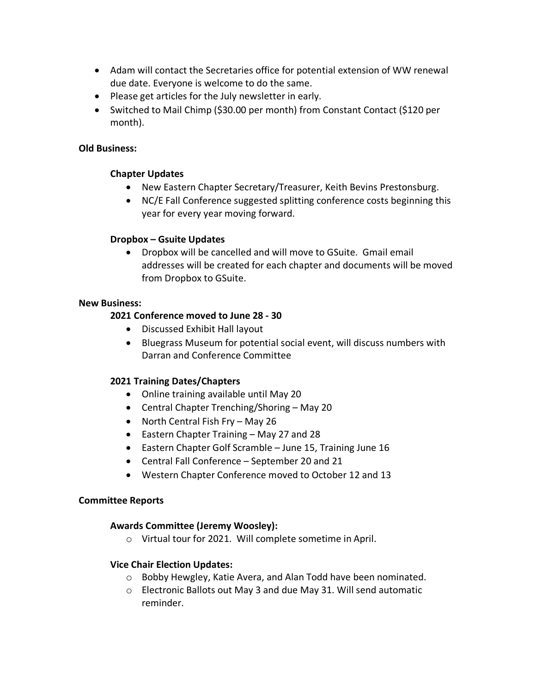- Adam will contact the Secretaries office for potential extension of WW renewal due date. Everyone is welcome to do the same.
- Please get articles for the July newsletter in early.
- Switched to Mail Chimp (\$30.00 per month) from Constant Contact (\$120 per month).

## **Old Business:**

## **Chapter Updates**

- New Eastern Chapter Secretary/Treasurer, Keith Bevins Prestonsburg.
- NC/E Fall Conference suggested splitting conference costs beginning this year for every year moving forward.

### **Dropbox – Gsuite Updates**

• Dropbox will be cancelled and will move to GSuite. Gmail email addresses will be created for each chapter and documents will be moved from Dropbox to GSuite.

### **New Business:**

### **2021 Conference moved to June 28 - 30**

- Discussed Exhibit Hall layout
- Bluegrass Museum for potential social event, will discuss numbers with Darran and Conference Committee

# **2021 Training Dates/Chapters**

- Online training available until May 20
- Central Chapter Trenching/Shoring May 20
- North Central Fish Fry May 26
- Eastern Chapter Training May 27 and 28
- Eastern Chapter Golf Scramble June 15, Training June 16
- Central Fall Conference September 20 and 21
- Western Chapter Conference moved to October 12 and 13

### **Committee Reports**

# **Awards Committee (Jeremy Woosley):**

o Virtual tour for 2021. Will complete sometime in April.

### **Vice Chair Election Updates:**

- o Bobby Hewgley, Katie Avera, and Alan Todd have been nominated.
- o Electronic Ballots out May 3 and due May 31. Will send automatic reminder.